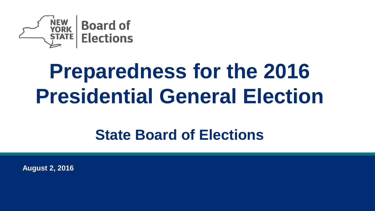

# **Preparedness for the 2016 Presidential General Election**

### **State Board of Elections**

**August 2, 2016**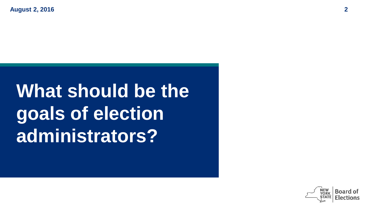# **What should be the goals of election administrators?**

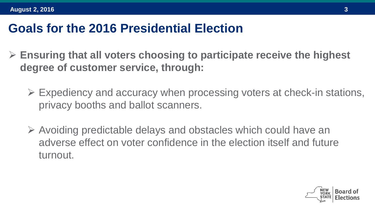#### **Goals for the 2016 Presidential Election**

- **Ensuring that all voters choosing to participate receive the highest degree of customer service, through:**
	- $\triangleright$  Expediency and accuracy when processing voters at check-in stations, privacy booths and ballot scanners.
	- $\triangleright$  Avoiding predictable delays and obstacles which could have an adverse effect on voter confidence in the election itself and future turnout.

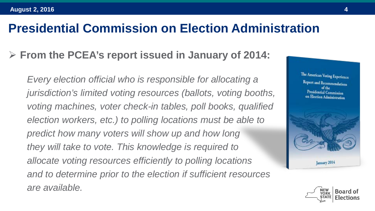#### **Presidential Commission on Election Administration**

#### **From the PCEA's report issued in January of 2014:**

*Every election official who is responsible for allocating a jurisdiction's limited voting resources (ballots, voting booths, voting machines, voter check-in tables, poll books, qualified election workers, etc.) to polling locations must be able to predict how many voters will show up and how long they will take to vote. This knowledge is required to allocate voting resources efficiently to polling locations and to determine prior to the election if sufficient resources are available.*



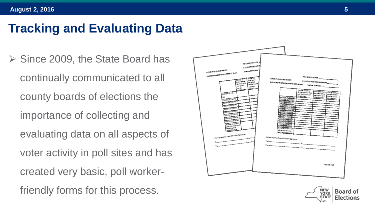### **Tracking and Evaluating Data**

 $\triangleright$  Since 2009, the State Board has continually communicated to all county boards of elections the importance of collecting and evaluating data on all aspects of voter activity in poll sites and has created very basic, poll workerfriendly forms for this process.



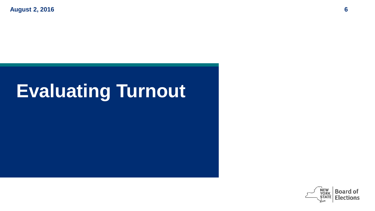## **Evaluating Turnout**

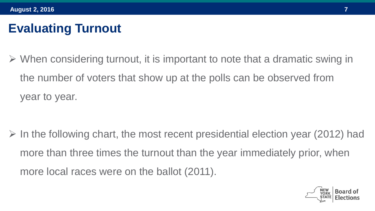### **Evaluating Turnout**

 $\triangleright$  When considering turnout, it is important to note that a dramatic swing in the number of voters that show up at the polls can be observed from year to year.

 $\triangleright$  In the following chart, the most recent presidential election year (2012) had more than three times the turnout than the year immediately prior, when more local races were on the ballot (2011).

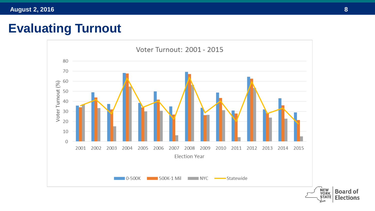### **Evaluating Turnout**

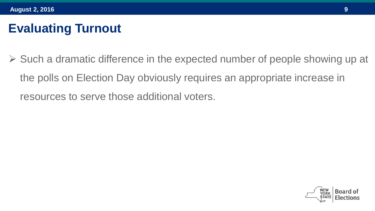### **Evaluating Turnout**

 $\triangleright$  Such a dramatic difference in the expected number of people showing up at the polls on Election Day obviously requires an appropriate increase in resources to serve those additional voters.

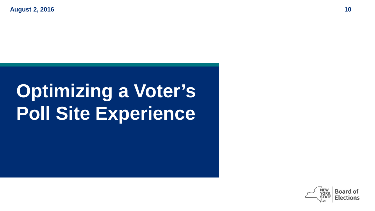# **Optimizing a Voter's Poll Site Experience**

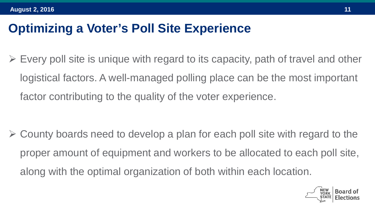### **Optimizing a Voter's Poll Site Experience**

 $\triangleright$  Every poll site is unique with regard to its capacity, path of travel and other logistical factors. A well-managed polling place can be the most important factor contributing to the quality of the voter experience.

 $\triangleright$  County boards need to develop a plan for each poll site with regard to the proper amount of equipment and workers to be allocated to each poll site, along with the optimal organization of both within each location.

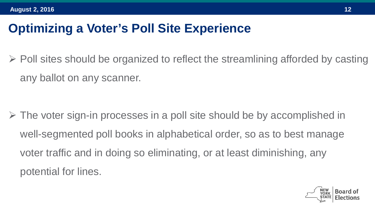### **Optimizing a Voter's Poll Site Experience**

 $\triangleright$  Poll sites should be organized to reflect the streamlining afforded by casting any ballot on any scanner.

 $\triangleright$  The voter sign-in processes in a poll site should be by accomplished in well-segmented poll books in alphabetical order, so as to best manage voter traffic and in doing so eliminating, or at least diminishing, any potential for lines.

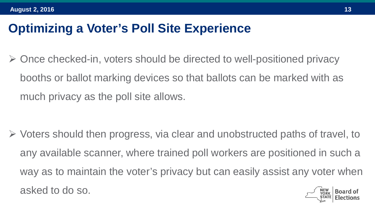### **Optimizing a Voter's Poll Site Experience**

 $\triangleright$  Once checked-in, voters should be directed to well-positioned privacy booths or ballot marking devices so that ballots can be marked with as much privacy as the poll site allows.

 Voters should then progress, via clear and unobstructed paths of travel, to any available scanner, where trained poll workers are positioned in such a way as to maintain the voter's privacy but can easily assist any voter when asked to do so.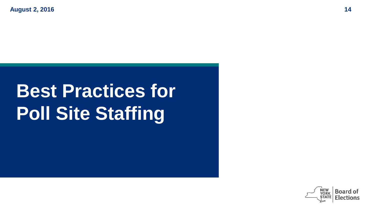# **Best Practices for Poll Site Staffing**

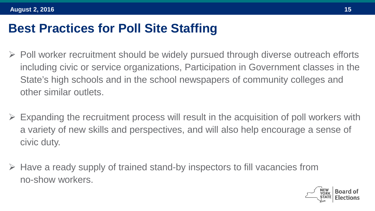#### **Best Practices for Poll Site Staffing**

- $\triangleright$  Poll worker recruitment should be widely pursued through diverse outreach efforts including civic or service organizations, Participation in Government classes in the State's high schools and in the school newspapers of community colleges and other similar outlets.
- Expanding the recruitment process will result in the acquisition of poll workers with a variety of new skills and perspectives, and will also help encourage a sense of civic duty.
- $\triangleright$  Have a ready supply of trained stand-by inspectors to fill vacancies from no-show workers.

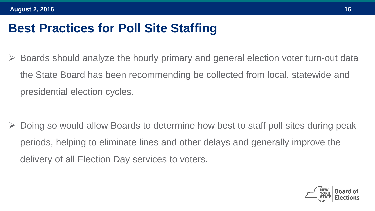#### **Best Practices for Poll Site Staffing**

 Boards should analyze the hourly primary and general election voter turn-out data the State Board has been recommending be collected from local, statewide and presidential election cycles.

 Doing so would allow Boards to determine how best to staff poll sites during peak periods, helping to eliminate lines and other delays and generally improve the delivery of all Election Day services to voters.

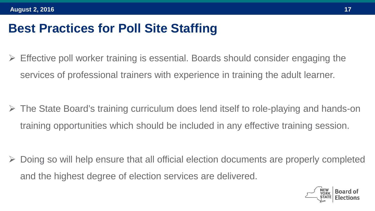#### **Best Practices for Poll Site Staffing**

 $\triangleright$  Effective poll worker training is essential. Boards should consider engaging the services of professional trainers with experience in training the adult learner.

 The State Board's training curriculum does lend itself to role-playing and hands-on training opportunities which should be included in any effective training session.

 Doing so will help ensure that all official election documents are properly completed and the highest degree of election services are delivered.

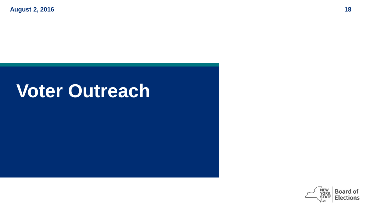## **Voter Outreach**

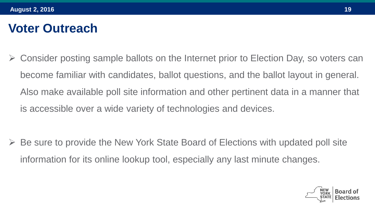#### **Voter Outreach**

 Consider posting sample ballots on the Internet prior to Election Day, so voters can become familiar with candidates, ballot questions, and the ballot layout in general. Also make available poll site information and other pertinent data in a manner that is accessible over a wide variety of technologies and devices.

 Be sure to provide the New York State Board of Elections with updated poll site information for its online lookup tool, especially any last minute changes.

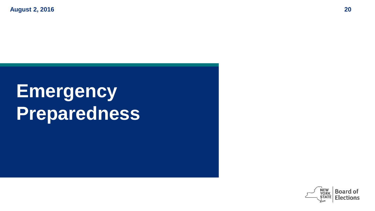# **Emergency Preparedness**

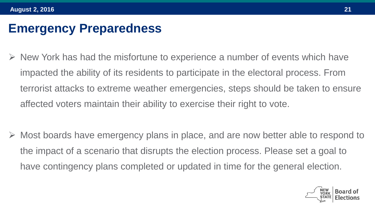#### **Emergency Preparedness**

- $\triangleright$  New York has had the misfortune to experience a number of events which have impacted the ability of its residents to participate in the electoral process. From terrorist attacks to extreme weather emergencies, steps should be taken to ensure affected voters maintain their ability to exercise their right to vote.
- Most boards have emergency plans in place, and are now better able to respond to the impact of a scenario that disrupts the election process. Please set a goal to have contingency plans completed or updated in time for the general election.